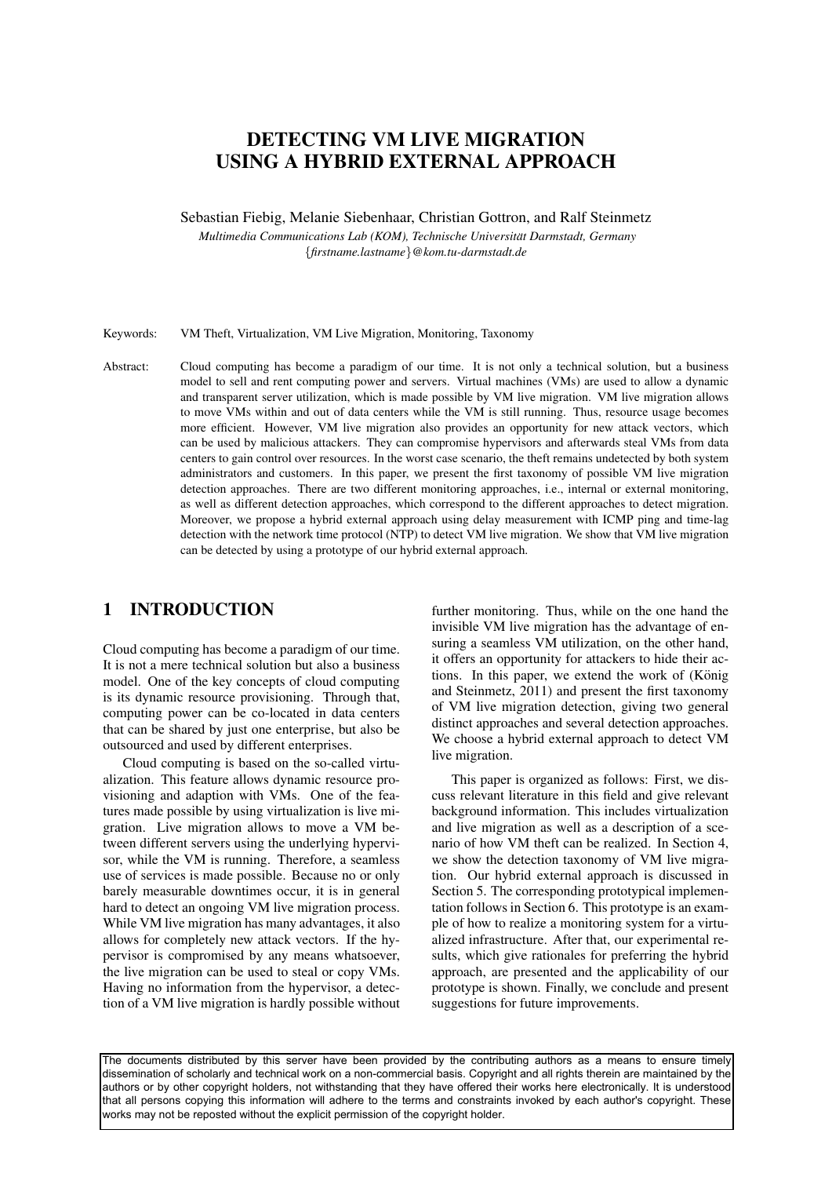# DETECTING VM LIVE MIGRATION USING A HYBRID EXTERNAL APPROACH

Sebastian Fiebig, Melanie Siebenhaar, Christian Gottron, and Ralf Steinmetz

*Multimedia Communications Lab (KOM), Technische Universitat Darmstadt, Germany ¨* {*firstname.lastname*}*@kom.tu-darmstadt.de*

Keywords: VM Theft, Virtualization, VM Live Migration, Monitoring, Taxonomy

Abstract: Cloud computing has become a paradigm of our time. It is not only a technical solution, but a business model to sell and rent computing power and servers. Virtual machines (VMs) are used to allow a dynamic and transparent server utilization, which is made possible by VM live migration. VM live migration allows to move VMs within and out of data centers while the VM is still running. Thus, resource usage becomes more efficient. However, VM live migration also provides an opportunity for new attack vectors, which can be used by malicious attackers. They can compromise hypervisors and afterwards steal VMs from data centers to gain control over resources. In the worst case scenario, the theft remains undetected by both system administrators and customers. In this paper, we present the first taxonomy of possible VM live migration detection approaches. There are two different monitoring approaches, i.e., internal or external monitoring, as well as different detection approaches, which correspond to the different approaches to detect migration. Moreover, we propose a hybrid external approach using delay measurement with ICMP ping and time-lag detection with the network time protocol (NTP) to detect VM live migration. We show that VM live migration can be detected by using a prototype of our hybrid external approach.

## 1 INTRODUCTION

Cloud computing has become a paradigm of our time. It is not a mere technical solution but also a business model. One of the key concepts of cloud computing is its dynamic resource provisioning. Through that, computing power can be co-located in data centers that can be shared by just one enterprise, but also be outsourced and used by different enterprises.

Cloud computing is based on the so-called virtualization. This feature allows dynamic resource provisioning and adaption with VMs. One of the features made possible by using virtualization is live migration. Live migration allows to move a VM between different servers using the underlying hypervisor, while the VM is running. Therefore, a seamless use of services is made possible. Because no or only barely measurable downtimes occur, it is in general hard to detect an ongoing VM live migration process. While VM live migration has many advantages, it also allows for completely new attack vectors. If the hypervisor is compromised by any means whatsoever, the live migration can be used to steal or copy VMs. Having no information from the hypervisor, a detection of a VM live migration is hardly possible without

further monitoring. Thus, while on the one hand the invisible VM live migration has the advantage of ensuring a seamless VM utilization, on the other hand, it offers an opportunity for attackers to hide their actions. In this paper, we extend the work of  $(K\ddot{o}nig)$ and Steinmetz, 2011) and present the first taxonomy of VM live migration detection, giving two general distinct approaches and several detection approaches. We choose a hybrid external approach to detect VM live migration.

This paper is organized as follows: First, we discuss relevant literature in this field and give relevant background information. This includes virtualization and live migration as well as a description of a scenario of how VM theft can be realized. In Section 4, we show the detection taxonomy of VM live migration. Our hybrid external approach is discussed in Section 5. The corresponding prototypical implementation follows in Section 6. This prototype is an example of how to realize a monitoring system for a virtualized infrastructure. After that, our experimental results, which give rationales for preferring the hybrid approach, are presented and the applicability of our prototype is shown. Finally, we conclude and present suggestions for future improvements.

The documents distributed by this server have been provided by the contributing authors as a means to ensure timely dissemination of scholarly and technical work on a non-commercial basis. Copyright and all rights therein are maintained by the authors or by other copyright holders, not withstanding that they have offered their works here electronically. It is understood that all persons copying this information will adhere to the terms and constraints invoked by each author's copyright. These works may not be reposted without the explicit permission of the copyright holder.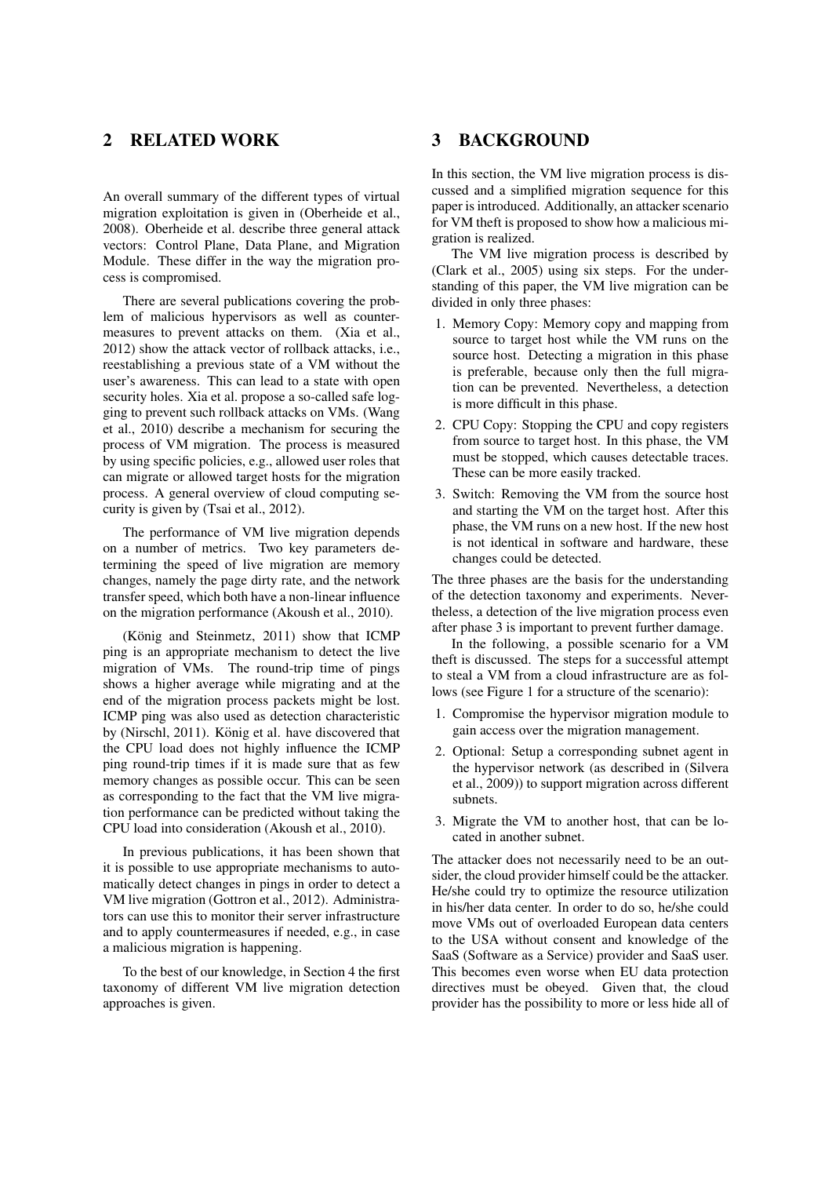## 2 RELATED WORK

An overall summary of the different types of virtual migration exploitation is given in (Oberheide et al., 2008). Oberheide et al. describe three general attack vectors: Control Plane, Data Plane, and Migration Module. These differ in the way the migration process is compromised.

There are several publications covering the problem of malicious hypervisors as well as countermeasures to prevent attacks on them. (Xia et al., 2012) show the attack vector of rollback attacks, i.e., reestablishing a previous state of a VM without the user's awareness. This can lead to a state with open security holes. Xia et al. propose a so-called safe logging to prevent such rollback attacks on VMs. (Wang et al., 2010) describe a mechanism for securing the process of VM migration. The process is measured by using specific policies, e.g., allowed user roles that can migrate or allowed target hosts for the migration process. A general overview of cloud computing security is given by (Tsai et al., 2012).

The performance of VM live migration depends on a number of metrics. Two key parameters determining the speed of live migration are memory changes, namely the page dirty rate, and the network transfer speed, which both have a non-linear influence on the migration performance (Akoush et al., 2010).

 $(K\ddot{o}n)$  and Steinmetz, 2011) show that  $ICMP$ ping is an appropriate mechanism to detect the live migration of VMs. The round-trip time of pings shows a higher average while migrating and at the end of the migration process packets might be lost. ICMP ping was also used as detection characteristic by (Nirschl, 2011). König et al. have discovered that the CPU load does not highly influence the ICMP ping round-trip times if it is made sure that as few memory changes as possible occur. This can be seen as corresponding to the fact that the VM live migration performance can be predicted without taking the CPU load into consideration (Akoush et al., 2010).

In previous publications, it has been shown that it is possible to use appropriate mechanisms to automatically detect changes in pings in order to detect a VM live migration (Gottron et al., 2012). Administrators can use this to monitor their server infrastructure and to apply countermeasures if needed, e.g., in case a malicious migration is happening.

To the best of our knowledge, in Section 4 the first taxonomy of different VM live migration detection approaches is given.

#### 3 BACKGROUND

In this section, the VM live migration process is discussed and a simplified migration sequence for this paper is introduced. Additionally, an attacker scenario for VM theft is proposed to show how a malicious migration is realized.

The VM live migration process is described by (Clark et al., 2005) using six steps. For the understanding of this paper, the VM live migration can be divided in only three phases:

- 1. Memory Copy: Memory copy and mapping from source to target host while the VM runs on the source host. Detecting a migration in this phase is preferable, because only then the full migration can be prevented. Nevertheless, a detection is more difficult in this phase.
- 2. CPU Copy: Stopping the CPU and copy registers from source to target host. In this phase, the VM must be stopped, which causes detectable traces. These can be more easily tracked.
- 3. Switch: Removing the VM from the source host and starting the VM on the target host. After this phase, the VM runs on a new host. If the new host is not identical in software and hardware, these changes could be detected.

The three phases are the basis for the understanding of the detection taxonomy and experiments. Nevertheless, a detection of the live migration process even after phase 3 is important to prevent further damage.

In the following, a possible scenario for a VM theft is discussed. The steps for a successful attempt to steal a VM from a cloud infrastructure are as follows (see Figure 1 for a structure of the scenario):

- 1. Compromise the hypervisor migration module to gain access over the migration management.
- 2. Optional: Setup a corresponding subnet agent in the hypervisor network (as described in (Silvera et al., 2009)) to support migration across different subnets.
- 3. Migrate the VM to another host, that can be located in another subnet.

The attacker does not necessarily need to be an outsider, the cloud provider himself could be the attacker. He/she could try to optimize the resource utilization in his/her data center. In order to do so, he/she could move VMs out of overloaded European data centers to the USA without consent and knowledge of the SaaS (Software as a Service) provider and SaaS user. This becomes even worse when EU data protection directives must be obeyed. Given that, the cloud provider has the possibility to more or less hide all of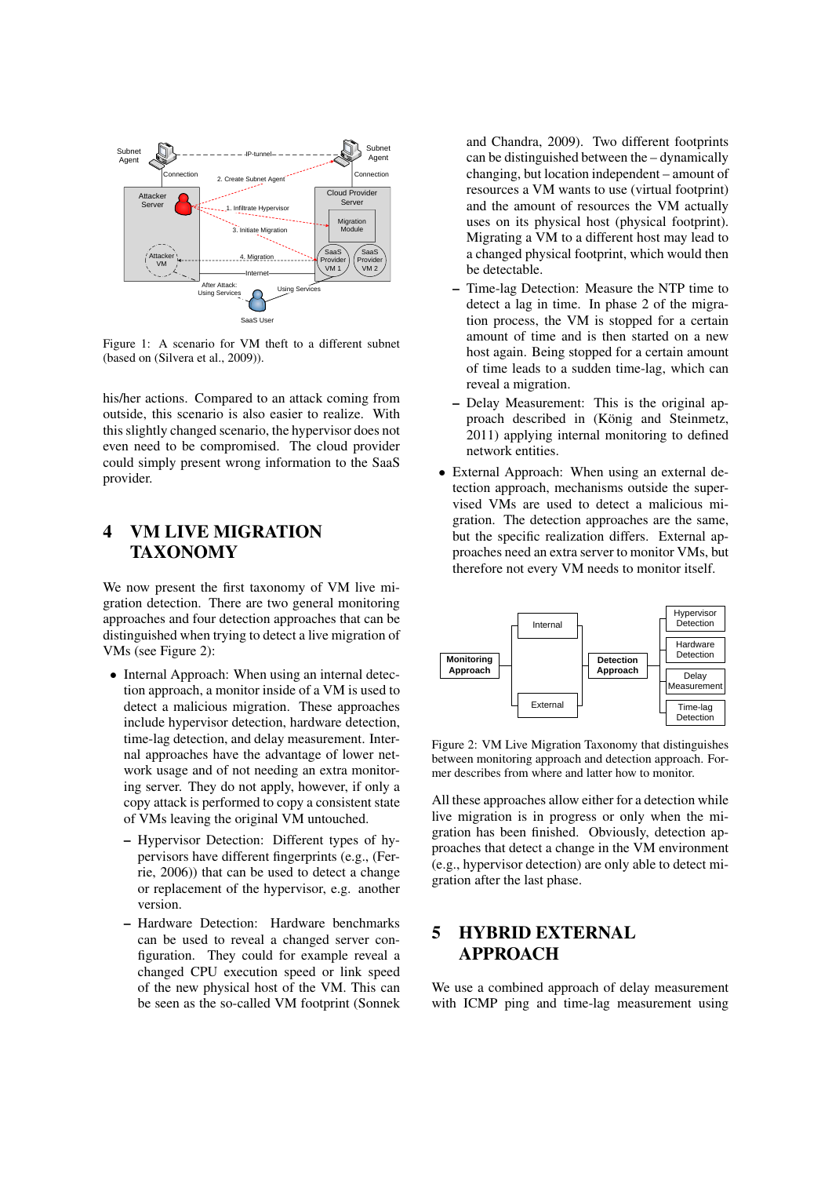

Figure 1: A scenario for VM theft to a different subnet (based on (Silvera et al., 2009)).

his/her actions. Compared to an attack coming from outside, this scenario is also easier to realize. With this slightly changed scenario, the hypervisor does not even need to be compromised. The cloud provider could simply present wrong information to the SaaS provider.

## 4 VM LIVE MIGRATION TAXONOMY

We now present the first taxonomy of VM live migration detection. There are two general monitoring approaches and four detection approaches that can be distinguished when trying to detect a live migration of VMs (see Figure 2):

- Internal Approach: When using an internal detection approach, a monitor inside of a VM is used to detect a malicious migration. These approaches include hypervisor detection, hardware detection, time-lag detection, and delay measurement. Internal approaches have the advantage of lower network usage and of not needing an extra monitoring server. They do not apply, however, if only a copy attack is performed to copy a consistent state of VMs leaving the original VM untouched.
	- Hypervisor Detection: Different types of hypervisors have different fingerprints (e.g., (Ferrie, 2006)) that can be used to detect a change or replacement of the hypervisor, e.g. another version.
	- Hardware Detection: Hardware benchmarks can be used to reveal a changed server configuration. They could for example reveal a changed CPU execution speed or link speed of the new physical host of the VM. This can be seen as the so-called VM footprint (Sonnek

and Chandra, 2009). Two different footprints can be distinguished between the – dynamically changing, but location independent – amount of resources a VM wants to use (virtual footprint) and the amount of resources the VM actually uses on its physical host (physical footprint). Migrating a VM to a different host may lead to a changed physical footprint, which would then be detectable.

- Time-lag Detection: Measure the NTP time to detect a lag in time. In phase 2 of the migration process, the VM is stopped for a certain amount of time and is then started on a new host again. Being stopped for a certain amount of time leads to a sudden time-lag, which can reveal a migration.
- Delay Measurement: This is the original approach described in (König and Steinmetz, 2011) applying internal monitoring to defined network entities.
- External Approach: When using an external detection approach, mechanisms outside the supervised VMs are used to detect a malicious migration. The detection approaches are the same, but the specific realization differs. External approaches need an extra server to monitor VMs, but therefore not every VM needs to monitor itself.



Figure 2: VM Live Migration Taxonomy that distinguishes between monitoring approach and detection approach. Former describes from where and latter how to monitor.

All these approaches allow either for a detection while live migration is in progress or only when the migration has been finished. Obviously, detection approaches that detect a change in the VM environment (e.g., hypervisor detection) are only able to detect migration after the last phase.

## 5 HYBRID EXTERNAL APPROACH

We use a combined approach of delay measurement with ICMP ping and time-lag measurement using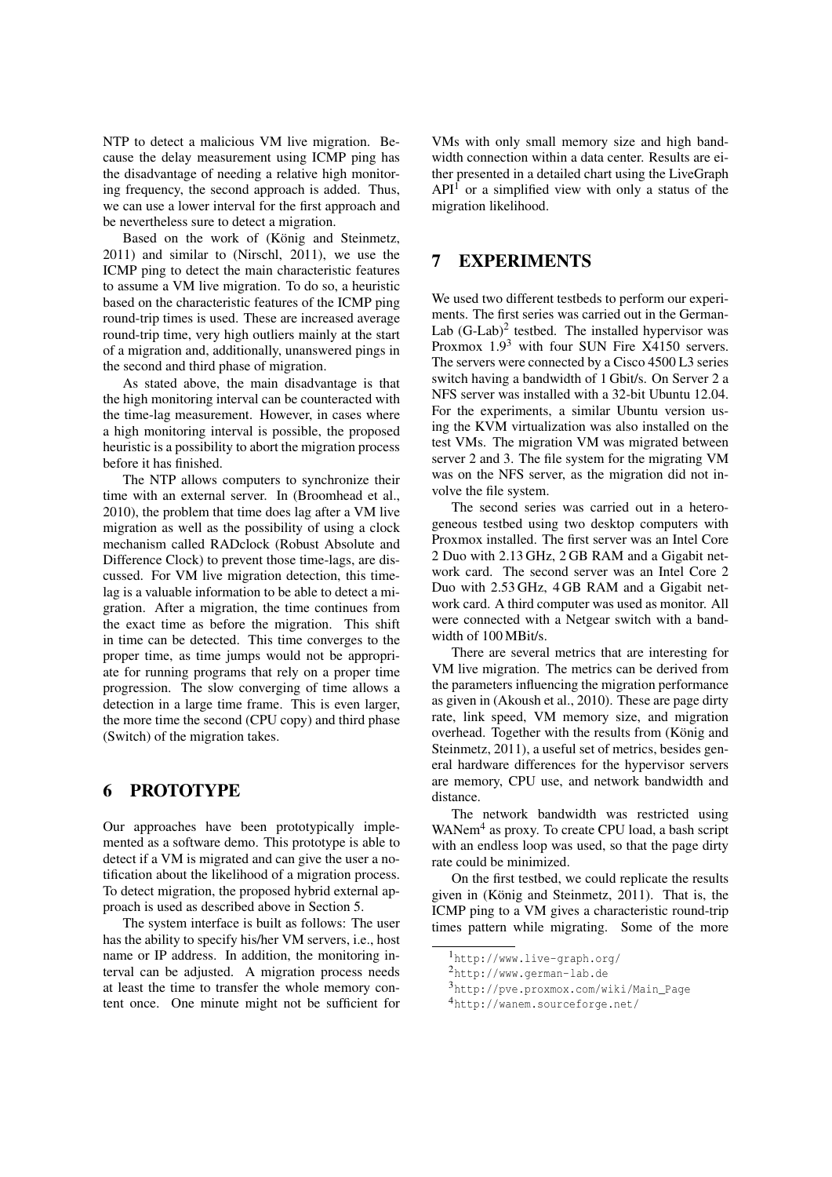NTP to detect a malicious VM live migration. Because the delay measurement using ICMP ping has the disadvantage of needing a relative high monitoring frequency, the second approach is added. Thus, we can use a lower interval for the first approach and be nevertheless sure to detect a migration.

Based on the work of (König and Steinmetz, 2011) and similar to (Nirschl, 2011), we use the ICMP ping to detect the main characteristic features to assume a VM live migration. To do so, a heuristic based on the characteristic features of the ICMP ping round-trip times is used. These are increased average round-trip time, very high outliers mainly at the start of a migration and, additionally, unanswered pings in the second and third phase of migration.

As stated above, the main disadvantage is that the high monitoring interval can be counteracted with the time-lag measurement. However, in cases where a high monitoring interval is possible, the proposed heuristic is a possibility to abort the migration process before it has finished.

The NTP allows computers to synchronize their time with an external server. In (Broomhead et al., 2010), the problem that time does lag after a VM live migration as well as the possibility of using a clock mechanism called RADclock (Robust Absolute and Difference Clock) to prevent those time-lags, are discussed. For VM live migration detection, this timelag is a valuable information to be able to detect a migration. After a migration, the time continues from the exact time as before the migration. This shift in time can be detected. This time converges to the proper time, as time jumps would not be appropriate for running programs that rely on a proper time progression. The slow converging of time allows a detection in a large time frame. This is even larger, the more time the second (CPU copy) and third phase (Switch) of the migration takes.

## 6 PROTOTYPE

Our approaches have been prototypically implemented as a software demo. This prototype is able to detect if a VM is migrated and can give the user a notification about the likelihood of a migration process. To detect migration, the proposed hybrid external approach is used as described above in Section 5.

The system interface is built as follows: The user has the ability to specify his/her VM servers, i.e., host name or IP address. In addition, the monitoring interval can be adjusted. A migration process needs at least the time to transfer the whole memory content once. One minute might not be sufficient for

VMs with only small memory size and high bandwidth connection within a data center. Results are either presented in a detailed chart using the LiveGraph  $API<sup>1</sup>$  or a simplified view with only a status of the migration likelihood.

### 7 EXPERIMENTS

We used two different testbeds to perform our experiments. The first series was carried out in the German-Lab  $(G-Lab)^2$  testbed. The installed hypervisor was Proxmox  $1.9<sup>3</sup>$  with four SUN Fire X4150 servers. The servers were connected by a Cisco 4500 L3 series switch having a bandwidth of 1 Gbit/s. On Server 2 a NFS server was installed with a 32-bit Ubuntu 12.04. For the experiments, a similar Ubuntu version using the KVM virtualization was also installed on the test VMs. The migration VM was migrated between server 2 and 3. The file system for the migrating VM was on the NFS server, as the migration did not involve the file system.

The second series was carried out in a heterogeneous testbed using two desktop computers with Proxmox installed. The first server was an Intel Core 2 Duo with 2.13 GHz, 2 GB RAM and a Gigabit network card. The second server was an Intel Core 2 Duo with 2.53 GHz, 4 GB RAM and a Gigabit network card. A third computer was used as monitor. All were connected with a Netgear switch with a bandwidth of 100 MBit/s.

There are several metrics that are interesting for VM live migration. The metrics can be derived from the parameters influencing the migration performance as given in (Akoush et al., 2010). These are page dirty rate, link speed, VM memory size, and migration overhead. Together with the results from (König and Steinmetz, 2011), a useful set of metrics, besides general hardware differences for the hypervisor servers are memory, CPU use, and network bandwidth and distance.

The network bandwidth was restricted using WANem<sup>4</sup> as proxy. To create CPU load, a bash script with an endless loop was used, so that the page dirty rate could be minimized.

On the first testbed, we could replicate the results given in (König and Steinmetz,  $2011$ ). That is, the ICMP ping to a VM gives a characteristic round-trip times pattern while migrating. Some of the more

<sup>1</sup>http://www.live-graph.org/

<sup>2</sup>http://www.german-lab.de

<sup>3</sup>http://pve.proxmox.com/wiki/Main\_Page

<sup>4</sup>http://wanem.sourceforge.net/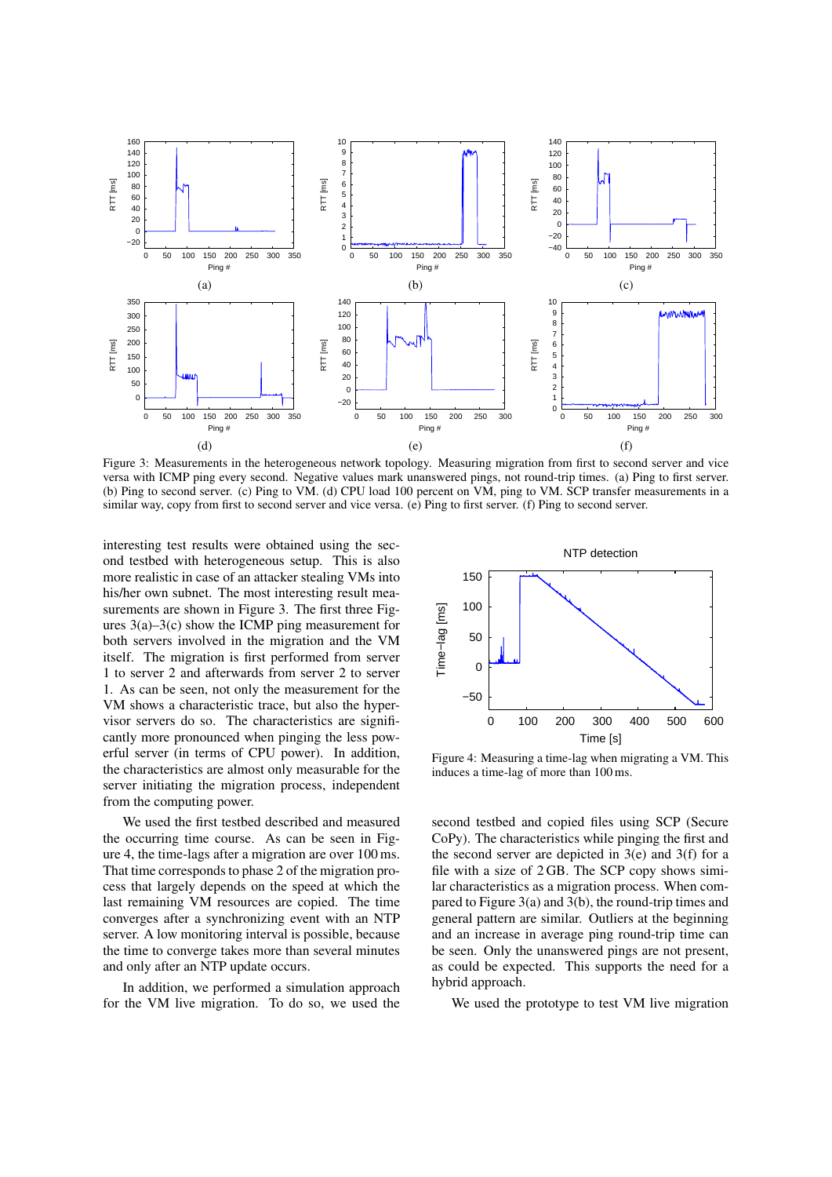

Figure 3: Measurements in the heterogeneous network topology. Measuring migration from first to second server and vice versa with ICMP ping every second. Negative values mark unanswered pings, not round-trip times. (a) Ping to first server. (b) Ping to second server. (c) Ping to VM. (d) CPU load 100 percent on VM, ping to VM. SCP transfer measurements in a similar way, copy from first to second server and vice versa. (e) Ping to first server. (f) Ping to second server.

interesting test results were obtained using the second testbed with heterogeneous setup. This is also more realistic in case of an attacker stealing VMs into his/her own subnet. The most interesting result measurements are shown in Figure 3. The first three Figures 3(a)–3(c) show the ICMP ping measurement for both servers involved in the migration and the VM itself. The migration is first performed from server 1 to server 2 and afterwards from server 2 to server 1. As can be seen, not only the measurement for the VM shows a characteristic trace, but also the hypervisor servers do so. The characteristics are significantly more pronounced when pinging the less powerful server (in terms of CPU power). In addition, the characteristics are almost only measurable for the server initiating the migration process, independent from the computing power.

We used the first testbed described and measured the occurring time course. As can be seen in Figure 4, the time-lags after a migration are over 100 ms. That time corresponds to phase 2 of the migration process that largely depends on the speed at which the last remaining VM resources are copied. The time converges after a synchronizing event with an NTP server. A low monitoring interval is possible, because the time to converge takes more than several minutes and only after an NTP update occurs.

In addition, we performed a simulation approach for the VM live migration. To do so, we used the



Figure 4: Measuring a time-lag when migrating a VM. This induces a time-lag of more than 100 ms.

second testbed and copied files using SCP (Secure CoPy). The characteristics while pinging the first and the second server are depicted in  $3(e)$  and  $3(f)$  for a file with a size of 2 GB. The SCP copy shows similar characteristics as a migration process. When compared to Figure 3(a) and 3(b), the round-trip times and general pattern are similar. Outliers at the beginning and an increase in average ping round-trip time can be seen. Only the unanswered pings are not present, as could be expected. This supports the need for a hybrid approach.

We used the prototype to test VM live migration